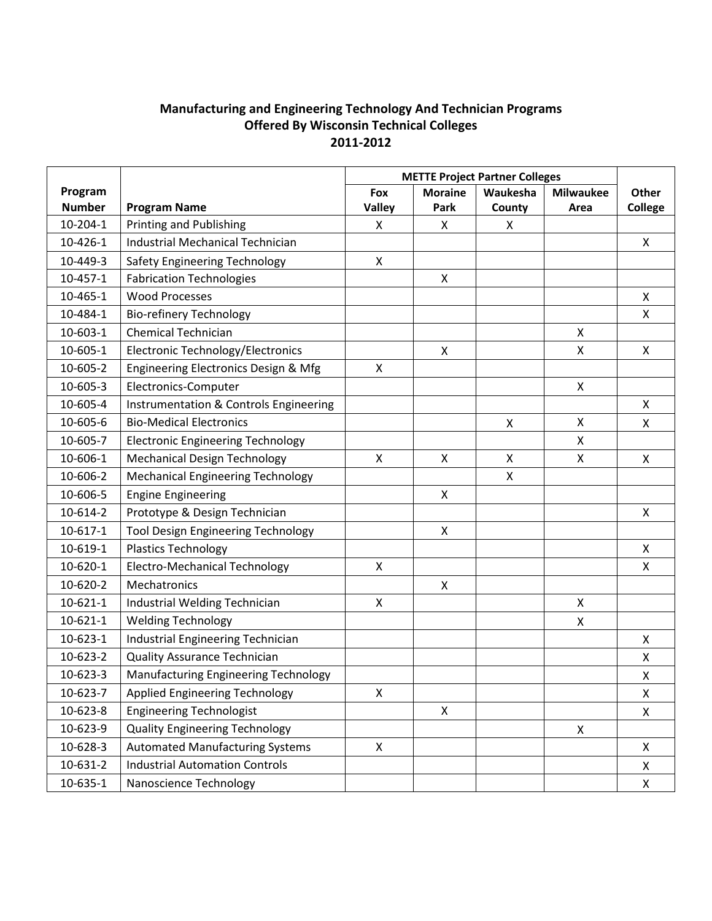## **Manufacturing and Engineering Technology And Technician Programs Offered By Wisconsin Technical Colleges 2011-2012**

|                |                                           | <b>METTE Project Partner Colleges</b> |                |          |                  |                |
|----------------|-------------------------------------------|---------------------------------------|----------------|----------|------------------|----------------|
| Program        |                                           | Fox                                   | <b>Moraine</b> | Waukesha | <b>Milwaukee</b> | Other          |
| <b>Number</b>  | <b>Program Name</b>                       | <b>Valley</b>                         | Park           | County   | Area             | <b>College</b> |
| $10-204-1$     | <b>Printing and Publishing</b>            | X                                     | X              | X        |                  |                |
| 10-426-1       | <b>Industrial Mechanical Technician</b>   |                                       |                |          |                  | X              |
| 10-449-3       | Safety Engineering Technology             | X                                     |                |          |                  |                |
| $10 - 457 - 1$ | <b>Fabrication Technologies</b>           |                                       | $\mathsf{x}$   |          |                  |                |
| 10-465-1       | <b>Wood Processes</b>                     |                                       |                |          |                  | X              |
| 10-484-1       | <b>Bio-refinery Technology</b>            |                                       |                |          |                  | X              |
| 10-603-1       | <b>Chemical Technician</b>                |                                       |                |          | X                |                |
| 10-605-1       | Electronic Technology/Electronics         |                                       | X              |          | X                | X              |
| 10-605-2       | Engineering Electronics Design & Mfg      | $\mathsf{x}$                          |                |          |                  |                |
| 10-605-3       | Electronics-Computer                      |                                       |                |          | X                |                |
| 10-605-4       | Instrumentation & Controls Engineering    |                                       |                |          |                  | X              |
| 10-605-6       | <b>Bio-Medical Electronics</b>            |                                       |                | X        | X                | X              |
| 10-605-7       | <b>Electronic Engineering Technology</b>  |                                       |                |          | X                |                |
| 10-606-1       | <b>Mechanical Design Technology</b>       | X                                     | X              | X        | X                | X              |
| 10-606-2       | <b>Mechanical Engineering Technology</b>  |                                       |                | X        |                  |                |
| 10-606-5       | <b>Engine Engineering</b>                 |                                       | $\mathsf{x}$   |          |                  |                |
| 10-614-2       | Prototype & Design Technician             |                                       |                |          |                  | X              |
| $10 - 617 - 1$ | <b>Tool Design Engineering Technology</b> |                                       | X              |          |                  |                |
| 10-619-1       | <b>Plastics Technology</b>                |                                       |                |          |                  | X              |
| 10-620-1       | <b>Electro-Mechanical Technology</b>      | X                                     |                |          |                  | X              |
| 10-620-2       | Mechatronics                              |                                       | X              |          |                  |                |
| $10 - 621 - 1$ | Industrial Welding Technician             | X                                     |                |          | X                |                |
| $10 - 621 - 1$ | <b>Welding Technology</b>                 |                                       |                |          | X                |                |
| $10 - 623 - 1$ | Industrial Engineering Technician         |                                       |                |          |                  | Χ              |
| 10-623-2       | <b>Quality Assurance Technician</b>       |                                       |                |          |                  | X              |
| 10-623-3       | Manufacturing Engineering Technology      |                                       |                |          |                  | Χ              |
| 10-623-7       | Applied Engineering Technology            | X                                     |                |          |                  | X              |
| 10-623-8       | <b>Engineering Technologist</b>           |                                       | X              |          |                  | X              |
| 10-623-9       | <b>Quality Engineering Technology</b>     |                                       |                |          | X                |                |
| 10-628-3       | <b>Automated Manufacturing Systems</b>    | X                                     |                |          |                  | X              |
| 10-631-2       | <b>Industrial Automation Controls</b>     |                                       |                |          |                  | X              |
| 10-635-1       | Nanoscience Technology                    |                                       |                |          |                  | X              |